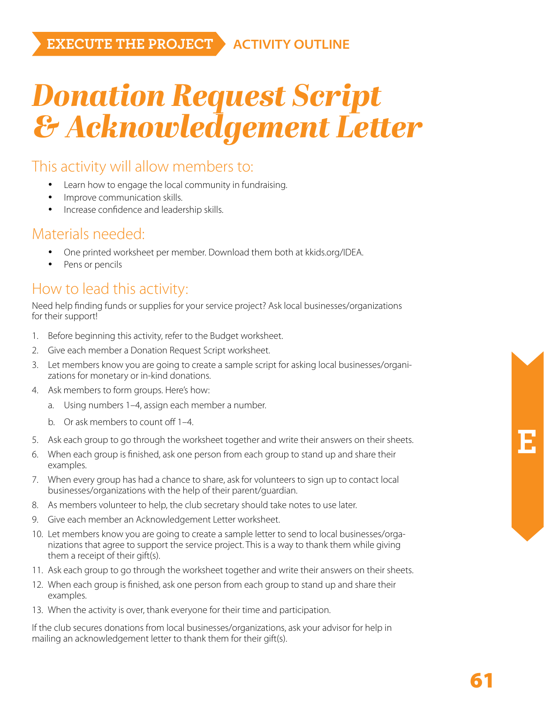### *Donation Request Script & Acknowledgement Letter*

#### This activity will allow members to:

- Learn how to engage the local community in fundraising.
- Improve communication skills.
- Increase confidence and leadership skills.

#### Materials needed:

- One printed worksheet per member. Download them both at kkids.org/IDEA.
- Pens or pencils

#### How to lead this activity:

Need help finding funds or supplies for your service project? Ask local businesses/organizations for their support!

- 1. Before beginning this activity, refer to the Budget worksheet.
- 2. Give each member a Donation Request Script worksheet.
- 3. Let members know you are going to create a sample script for asking local businesses/organizations for monetary or in-kind donations.
- 4. Ask members to form groups. Here's how:
	- a. Using numbers 1–4, assign each member a number.
	- b. Or ask members to count off 1–4.
- 5. Ask each group to go through the worksheet together and write their answers on their sheets.
- 6. When each group is finished, ask one person from each group to stand up and share their examples.
- 7. When every group has had a chance to share, ask for volunteers to sign up to contact local businesses/organizations with the help of their parent/guardian.
- 8. As members volunteer to help, the club secretary should take notes to use later.
- 9. Give each member an Acknowledgement Letter worksheet.
- 10. Let members know you are going to create a sample letter to send to local businesses/organizations that agree to support the service project. This is a way to thank them while giving them a receipt of their gift(s).
- 11. Ask each group to go through the worksheet together and write their answers on their sheets.
- 12. When each group is finished, ask one person from each group to stand up and share their examples.
- 13. When the activity is over, thank everyone for their time and participation.

If the club secures donations from local businesses/organizations, ask your advisor for help in mailing an acknowledgement letter to thank them for their gift(s).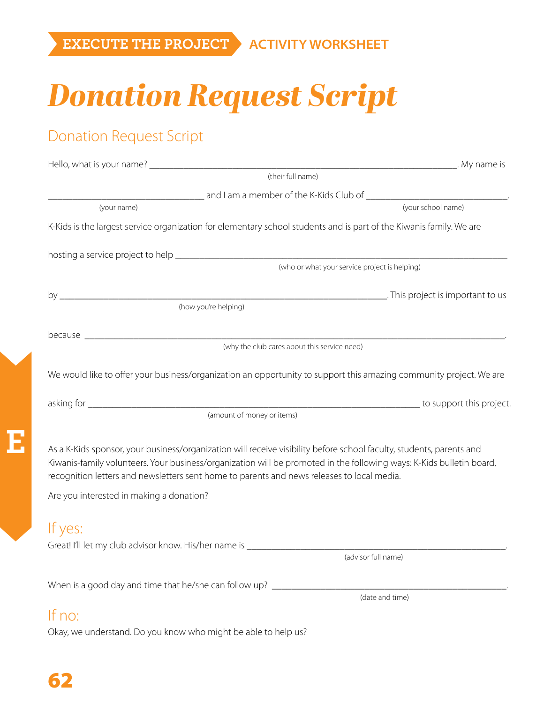## *Donation Request Script*

### Donation Request Script

|                                                                                                                                                                                                                                                                                                                                                                                        | (their full name)                             |
|----------------------------------------------------------------------------------------------------------------------------------------------------------------------------------------------------------------------------------------------------------------------------------------------------------------------------------------------------------------------------------------|-----------------------------------------------|
|                                                                                                                                                                                                                                                                                                                                                                                        |                                               |
| (your name)                                                                                                                                                                                                                                                                                                                                                                            | (your school name)                            |
| K-Kids is the largest service organization for elementary school students and is part of the Kiwanis family. We are                                                                                                                                                                                                                                                                    |                                               |
|                                                                                                                                                                                                                                                                                                                                                                                        |                                               |
|                                                                                                                                                                                                                                                                                                                                                                                        | (who or what your service project is helping) |
|                                                                                                                                                                                                                                                                                                                                                                                        |                                               |
| (how you're helping)                                                                                                                                                                                                                                                                                                                                                                   |                                               |
|                                                                                                                                                                                                                                                                                                                                                                                        |                                               |
|                                                                                                                                                                                                                                                                                                                                                                                        |                                               |
| We would like to offer your business/organization an opportunity to support this amazing community project. We are                                                                                                                                                                                                                                                                     |                                               |
|                                                                                                                                                                                                                                                                                                                                                                                        |                                               |
| (amount of money or items)                                                                                                                                                                                                                                                                                                                                                             |                                               |
| As a K-Kids sponsor, your business/organization will receive visibility before school faculty, students, parents and<br>Kiwanis-family volunteers. Your business/organization will be promoted in the following ways: K-Kids bulletin board,<br>recognition letters and newsletters sent home to parents and news releases to local media.<br>Are you interested in making a donation? |                                               |
| If yes:                                                                                                                                                                                                                                                                                                                                                                                | (advisor full name)                           |
|                                                                                                                                                                                                                                                                                                                                                                                        |                                               |
| When is a good day and time that he/she can follow up? _________________________                                                                                                                                                                                                                                                                                                       | (date and time)                               |
| If no:                                                                                                                                                                                                                                                                                                                                                                                 |                                               |

Okay, we understand. Do you know who might be able to help us?

**E**